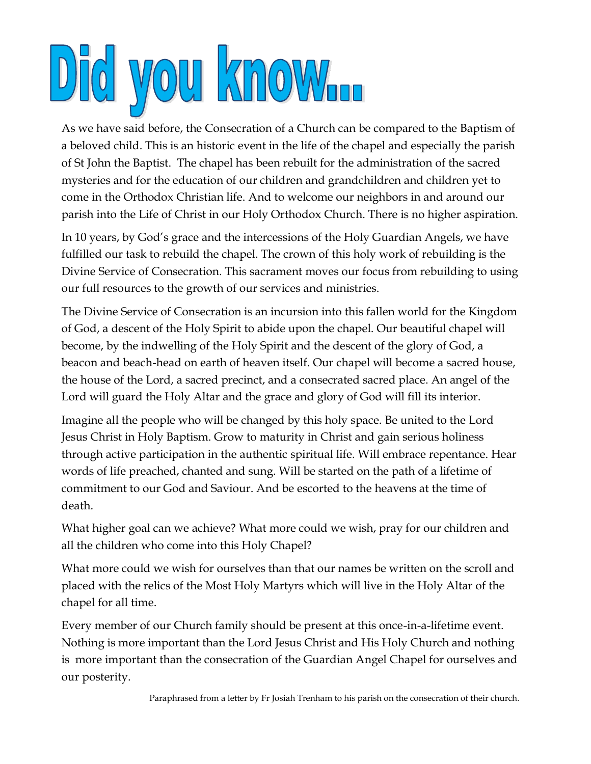## Did you know.

As we have said before, the Consecration of a Church can be compared to the Baptism of a beloved child. This is an historic event in the life of the chapel and especially the parish of St John the Baptist. The chapel has been rebuilt for the administration of the sacred mysteries and for the education of our children and grandchildren and children yet to come in the Orthodox Christian life. And to welcome our neighbors in and around our parish into the Life of Christ in our Holy Orthodox Church. There is no higher aspiration.

In 10 years, by God's grace and the intercessions of the Holy Guardian Angels, we have fulfilled our task to rebuild the chapel. The crown of this holy work of rebuilding is the Divine Service of Consecration. This sacrament moves our focus from rebuilding to using our full resources to the growth of our services and ministries.

The Divine Service of Consecration is an incursion into this fallen world for the Kingdom of God, a descent of the Holy Spirit to abide upon the chapel. Our beautiful chapel will become, by the indwelling of the Holy Spirit and the descent of the glory of God, a beacon and beach-head on earth of heaven itself. Our chapel will become a sacred house, the house of the Lord, a sacred precinct, and a consecrated sacred place. An angel of the Lord will guard the Holy Altar and the grace and glory of God will fill its interior.

Imagine all the people who will be changed by this holy space. Be united to the Lord Jesus Christ in Holy Baptism. Grow to maturity in Christ and gain serious holiness through active participation in the authentic spiritual life. Will embrace repentance. Hear words of life preached, chanted and sung. Will be started on the path of a lifetime of commitment to our God and Saviour. And be escorted to the heavens at the time of death.

What higher goal can we achieve? What more could we wish, pray for our children and all the children who come into this Holy Chapel?

What more could we wish for ourselves than that our names be written on the scroll and placed with the relics of the Most Holy Martyrs which will live in the Holy Altar of the chapel for all time.

Every member of our Church family should be present at this once-in-a-lifetime event. Nothing is more important than the Lord Jesus Christ and His Holy Church and nothing is more important than the consecration of the Guardian Angel Chapel for ourselves and our posterity.